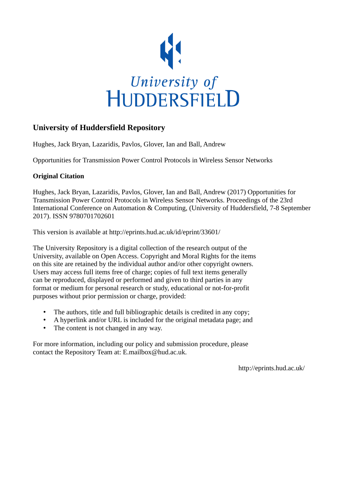

# **University of Huddersfield Repository**

Hughes, Jack Bryan, Lazaridis, Pavlos, Glover, Ian and Ball, Andrew

Opportunities for Transmission Power Control Protocols in Wireless Sensor Networks

# **Original Citation**

Hughes, Jack Bryan, Lazaridis, Pavlos, Glover, Ian and Ball, Andrew (2017) Opportunities for Transmission Power Control Protocols in Wireless Sensor Networks. Proceedings of the 23rd International Conference on Automation & Computing, (University of Huddersfield, 7-8 September 2017). ISSN 9780701702601

This version is available at http://eprints.hud.ac.uk/id/eprint/33601/

The University Repository is a digital collection of the research output of the University, available on Open Access. Copyright and Moral Rights for the items on this site are retained by the individual author and/or other copyright owners. Users may access full items free of charge; copies of full text items generally can be reproduced, displayed or performed and given to third parties in any format or medium for personal research or study, educational or not-for-profit purposes without prior permission or charge, provided:

- The authors, title and full bibliographic details is credited in any copy;
- A hyperlink and/or URL is included for the original metadata page; and
- The content is not changed in any way.

For more information, including our policy and submission procedure, please contact the Repository Team at: E.mailbox@hud.ac.uk.

http://eprints.hud.ac.uk/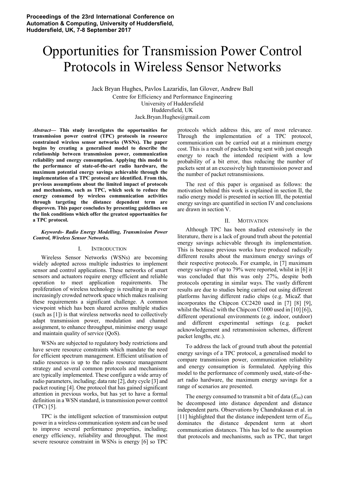# Opportunities for Transmission Power Control Protocols in Wireless Sensor Networks

Jack Bryan Hughes, Pavlos Lazaridis, Ian Glover, Andrew Ball Centre for Efficiency and Performance Engineering University of Huddersfield Huddersfield, UK Jack.Bryan.Hughes@gmail.com

*Abstract***— This study investigates the opportunities for transmission power control (TPC) protocols in resource constrained wireless sensor networks (WSNs). The paper begins by creating a generalised model to describe the relationship between transmission power, communication reliability and energy consumption. Applying this model to the performance of state-of-the-art radio hardware, the maximum potential energy savings achievable through the implementation of a TPC protocol are identified. From this, previous assumptions about the limited impact of protocols and mechanisms, such as TPC, which seek to reduce the energy consumed by wireless communication activities through targeting the distance dependent term are disproven. This paper concludes by presenting guidelines on the link conditions which offer the greatest opportunities for a TPC protocol.** 

#### *Keywords- Radio Energy Modelling, Transmission Power Control, Wireless Sensor Networks.*

#### I. INTRODUCTION

Wireless Sensor Networks (WSNs) are becoming widely adopted across multiple industries to implement sensor and control applications. These networks of smart sensors and actuators require energy efficient and reliable operation to meet application requirements. The proliferation of wireless technology is resulting in an ever increasingly crowded network space which makes realising these requirements a significant challenge. A common viewpoint which has been shared across multiple studies (such as [1]) is that wireless networks need to collectively adapt transmission power, modulation and channel assignment, to enhance throughput, minimise energy usage and maintain quality of service (QoS).

WSNs are subjected to regulatory body restrictions and have severe resource constraints which mandate the need for efficient spectrum management. Efficient utilisation of radio resources is up to the radio resource management strategy and several common protocols and mechanisms are typically implemented. These configure a wide array of radio parameters, including; data rate [2], duty cycle [3] and packet routing [4]. One protocol that has gained significant attention in previous works, but has yet to have a formal definition in a WSN standard, is transmission power control (TPC) [5].

TPC is the intelligent selection of transmission output power in a wireless communication system and can be used to improve several performance properties, including; energy efficiency, reliability and throughput. The most severe resource constraint in WSNs is energy [6] so TPC

protocols which address this, are of most relevance. Through the implementation of a TPC protocol, communication can be carried out at a minimum energy cost. This is a result of packets being sent with just enough energy to reach the intended recipient with a low probability of a bit error, thus reducing the number of packets sent at an excessively high transmission power and the number of packet retransmissions.

The rest of this paper is organised as follows: the motivation behind this work is explained in section II, the radio energy model is presented in section III, the potential energy savings are quantified in section IV and conclusions are drawn in section V.

### II. MOTIVATION

Although TPC has been studied extensively in the literature, there is a lack of ground truth about the potential energy savings achievable through its implementation. This is because previous works have produced radically different results about the maximum energy savings of their respective protocols. For example, in [7] maximum energy savings of up to 79% were reported, whilst in [6] it was concluded that this was only 27%, despite both protocols operating in similar ways. The vastly different results are due to studies being carried out using different platforms having different radio chips (e.g. MicaZ that incorporates the Chipcon CC2420 used in [7] [8] [9], whilst the Mica2 with the Chipcon C1000 used in [10] [6]), different operational environments (e.g. indoor, outdoor) and different experimental settings (e.g. packet acknowledgement and retransmission schemes, different packet lengths, etc.).

To address the lack of ground truth about the potential energy savings of a TPC protocol, a generalised model to compare transmission power, communication reliability and energy consumption is formulated. Applying this model to the performance of commonly used, state-of-theart radio hardware, the maximum energy savings for a range of scenarios are presented.

The energy consumed to transmit a bit of data  $(E<sub>bit</sub>)$  can be decomposed into distance dependent and distance independent parts. Observations by Chandrakasan et al. in [11] highlighted that the distance independent term of  $E_{bit}$ dominates the distance dependent term at short communication distances. This has led to the assumption that protocols and mechanisms, such as TPC, that target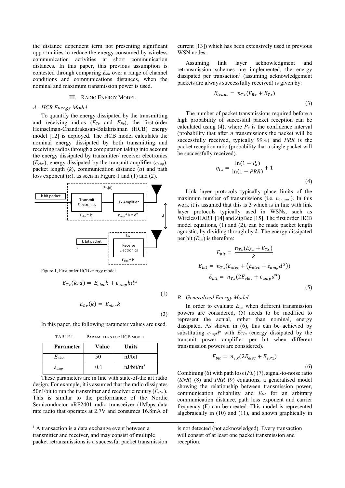the distance dependent term not presenting significant opportunities to reduce the energy consumed by wireless communication activities at short communication distances. In this paper, this previous assumption is contested through comparing *Ebit* over a range of channel conditions and communications distances, when the nominal and maximum transmission power is used.

#### III. RADIO ENERGY MODEL

#### *A. HCB Energy Model*

To quantify the energy dissipated by the transmitting and receiving radios  $(E_{Tx}$  and  $E_{Rx}$ ), the first-order Heinselman-Chandrakasan-Balakrishnan (HCB) energy model [12] is deployed. The HCB model calculates the nominal energy dissipated by both transmitting and receiving radios through a computation taking into account the energy dissipated by transmitter/ receiver electronics (*E<sub>elec</sub>*), energy dissipated by the transmit amplifier ( $\varepsilon_{\text{amp}}$ ), packet length (*k*), communication distance (*d*) and path loss exponent  $(\alpha)$ , as seen in Figure 1 and (1) and (2).



Figure 1, First order HCB energy model.

$$
E_{Tx}(k,d) = E_{elec}k + \varepsilon_{amp}k d^{\alpha}
$$

$$
E_{Rx}(k) = E_{elec}k
$$

(2)

(1)

In this paper, the following parameter values are used.

TABLE I. PARAMETERS FOR HCB MODEL

| <b>Parameter</b>    | Value | Units                 |
|---------------------|-------|-----------------------|
| $E_{elec}$          | 50    | nJ/bit                |
| $\varepsilon_{amp}$ |       | nJ/bit/m <sup>2</sup> |

These parameters are in line with state-of-the art radio design. For example, it is assumed that the radio dissipates 50nJ/bit to run the transmitter and receiver circuitry (*Eelec*). This is similar to the performance of the Nordic Semiconductor nRF2401 radio transceiver (1Mbps data rate radio that operates at 2.7V and consumes 16.8mA of current [13]) which has been extensively used in previous WSN nodes.

Assuming link layer acknowledgment and retransmission schemes are implemented, the energy dissipated per transaction<sup>1</sup> (assuming acknowledgement packets are always successfully received) is given by:

$$
E_{trans} = n_{Tx}(E_{Rx} + E_{Tx})
$$
\n(3)

The number of packet transmissions required before a high probability of successful packet reception can be calculated using (4), where  $P_a$  is the confidence interval (probability that after *n* transmissions the packet will be successfully received, typically 99%) and *PRR* is the packet reception ratio (probability that a single packet will be successfully received).

$$
\eta_{tx} = \frac{\ln(1 - P_a)}{\ln(1 - PRR)} + 1
$$
\n(4)

Link layer protocols typically place limits of the maximum number of transmissions (i.e.  $n_{Tx \, max}$ ). In this work it is assumed that this is 3 which is in line with link layer protocols typically used in WSNs, such as WirelessHART [14] and ZigBee [15]. The first order HCB model equations, (1) and (2), can be made packet length agnostic, by dividing through by *k*. The energy dissipated per bit  $(E<sub>bit</sub>)$  is therefore:

$$
E_{bit} = \frac{n_{Tx}(E_{Rx} + E_{Tx})}{k}
$$

$$
E_{bit} = n_{Tx}(E_{elec} + (E_{elec} + \varepsilon_{amp}d^{\alpha}))
$$

$$
E_{bit} = n_{Tx}(2E_{elec} + \varepsilon_{amp}d^{\alpha})
$$
(5)

#### *B. Generalised Energy Model*

In order to evaluate *Ebit* when different transmission powers are considered, (5) needs to be modified to represent the actual, rather than nominal, energy dissipated. As shown in (6), this can be achieved by substituting  $\varepsilon_{\text{amp}}d^{\alpha}$  with  $E_{TPx}$  (energy dissipated by the transmit power amplifier per bit when different transmission powers are considered).

$$
E_{bit} = n_{Tx}(2E_{elec} + E_{TPx})
$$

(6)

Combining (6) with path loss (*PL*) (7), signal-to-noise ratio (*SNR*) (8) and *PRR* (9) equations, a generalised model showing the relationship between transmission power, communication reliability and *Ebit* for an arbitrary communication distance, path loss exponent and carrier frequency (F) can be created. This model is represented algebraically in (10) and (11), and shown graphically in

<sup>&</sup>lt;sup>1</sup> A transaction is a data exchange event between a transmitter and receiver, and may consist of multiple packet retransmissions is a successful packet transmission

is not detected (not acknowledged). Every transaction will consist of at least one packet transmission and reception.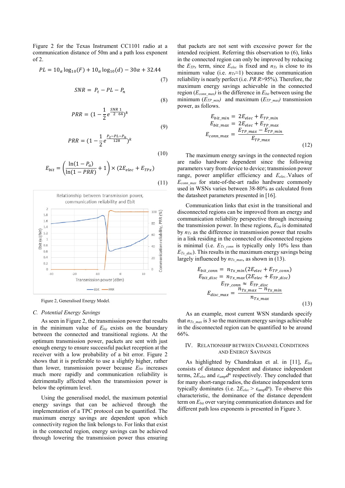Figure 2 for the Texas Instrument CC1101 radio at a communication distance of 50m and a path loss exponent of 2.

$$
PL = 10_{\alpha} \log_{10}(F) + 10_{\alpha} \log_{10}(d) - 30\alpha + 32.44
$$
\n(7)

$$
SNR = P_t - PL - P_n
$$

(8)

(9)

(10)

(11)

$$
PRR = (1 - \frac{1}{2}e^{\frac{SNR}{2}\frac{1}{64}})^k
$$

$$
PRR = (1 - \frac{1}{2}e^{\frac{P_t - P_L - P_n}{128}})^k
$$

$$
E_{bit} = \left(\frac{\ln(1 - P_a)}{\ln(1 - PRR)} + 1\right) \times (2E_{elec} + E_{TPx})
$$



Figure 2, Generalised Energy Model.

# *C. Potential Energy Savings*

As seen in Figure 2, the transmission power that results in the minimum value of  $E_{bit}$  exists on the boundary between the connected and transitional regions. At the optimum transmission power, packets are sent with just enough energy to ensure successful packet reception at the receiver with a low probability of a bit error. Figure 2 shows that it is preferable to use a slightly higher, rather than lower, transmission power because *Ebit* increases much more rapidly and communication reliability is detrimentally affected when the transmission power is below the optimum level.

Using the generalised model, the maximum potential energy savings that can be achieved through the implementation of a TPC protocol can be quantified. The maximum energy savings are dependent upon which connectivity region the link belongs to. For links that exist in the connected region, energy savings can be achieved through lowering the transmission power thus ensuring that packets are not sent with excessive power for the intended recipient. Referring this observation to (6), links in the connected region can only be improved by reducing the  $E_{TPx}$  term, since  $E_{elec}$  is fixed and  $n_{Tx}$  is close to its minimum value (i.e.  $n<sub>Tx</sub>$ ≈1) because the communication reliability is nearly perfect (i.e. *PR R*>95%). Therefore, the maximum energy savings achievable in the connected region  $(E_{conn \ max})$  is the difference in  $E_{bit}$  between using the minimum  $(E_{TP\_min})$  and maximum  $(E_{TP\_max})$  transmission power, as follows.

$$
E_{bit\_min} = 2E_{elec} + E_{TP\_min}
$$
  
\n
$$
E_{bit\_max} = 2E_{elec} + E_{TP\_max}
$$
  
\n
$$
E_{conn\_max} = \frac{E_{TP\_max} - E_{TP\_min}}{E_{TP\_max}}
$$
  
\n(12)

The maximum energy savings in the connected region are radio hardware dependent since the following parameters vary from device to device; transmission power range, power amplifier efficiency and *Eelec.*.Values of *Econn\_max* for state-of-the-art radio hardware commonly used in WSNs varies between 38-80% as calculated from the datasheet parameters presented in [16].

Communication links that exist in the transitional and disconnected regions can be improved from an energy and communication reliability perspective through increasing the transmission power. In these regions,  $E_{bit}$  is dominated by  $n_{Tx}$  as the difference in transmission power that results in a link residing in the connected or disconnected regions is minimal (i.e.  $E_{Tx \text{ conn }}$  is typically only 10% less than *E<sub>Tx\_disc</sub>*). This results in the maximum energy savings being largely influenced by  $n_{Tx\_max}$ , as shown in (13).

$$
E_{bit\_conn} = n_{Tx\_min}(2E_{elec} + E_{TP\_conn})
$$
  
\n
$$
E_{bit\_disc} = n_{Tx\_max}(2E_{elec} + E_{TP\_disc})
$$
  
\n
$$
E_{TP\_conn} \approx E_{TP\_disc}
$$
  
\n
$$
E_{disc\_max} = \frac{n_{Tx\_max} - n_{Tx\_min}}{n_{Tx\_max}}
$$
\n(13)

As an example, most current WSN standards specify that  $n_{Tx\ max}$  is 3 so the maximum energy savings achievable in the disconnected region can be quantified to be around 66%.

# IV. RELATIONSHIP BETWEEN CHANNEL CONDITIONS AND ENERGY SAVINGS

As highlighted by Chandrakan et al. in [11], *Ebit* consists of distance dependent and distance independent terms, 2*Eelec* and *εampd<sup>α</sup>* respectively. They concluded that for many short-range radios, the distance independent term typically dominates (i.e.  $2E_{elec} > \varepsilon_{amp} d^{\alpha}$ ). To observe this characteristic, the dominance of the distance dependent term on *Ebit* over varying communication distances and for different path loss exponents is presented in Figure 3.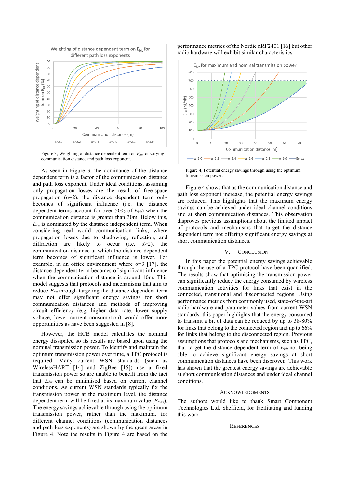

Figure 3, Weighting of distance dependent term on *Ebit* for varying communication distance and path loss exponent.

As seen in Figure 3, the dominance of the distance dependent term is a factor of the communication distance and path loss exponent. Under ideal conditions, assuming only propagation losses are the result of free-space propagation  $(\alpha=2)$ , the distance dependent term only becomes of significant influence (i.e. the distance dependent terms account for over 50% of *Ebit*) when the communication distance is greater than 30m. Below this, *Ebit* is dominated by the distance independent term. When considering real world communication links, where propagation losses due to shadowing, reflection, and diffraction are likely to occur (i.e.  $\alpha > 2$ ), the communication distance at which the distance dependent term becomes of significant influence is lower. For example, in an office environment where  $\alpha=3$  [17], the distance dependent term becomes of significant influence when the communication distance is around 10m. This model suggests that protocols and mechanisms that aim to reduce *Ebit* through targeting the distance dependent term may not offer significant energy savings for short communication distances and methods of improving circuit efficiency (e.g. higher data rate, lower supply voltage, lower current consumption) would offer more opportunities as have been suggested in [8].

However, the HCB model calculates the nominal energy dissipated so its results are based upon using the nominal transmission power. To identify and maintain the optimum transmission power over time, a TPC protocol is required. Many current WSN standards (such as WirelessHART [14] and ZigBee [15]) use a fixed transmission power so are unable to benefit from the fact that *Ebit* can be minimised based on current channel conditions. As current WSN standards typically fix the transmission power at the maximum level, the distance dependent term will be fixed at its maximum value (*Emax*). The energy savings achievable through using the optimum transmission power, rather than the maximum, for different channel conditions (communication distances and path loss exponents) are shown by the green areas in Figure 4. Note the results in Figure 4 are based on the

# performance metrics of the Nordic nRF2401 [16] but other radio hardware will exhibit similar characteristics.



Figure 4, Potential energy savings through using the optimum transmission power.

Figure 4 shows that as the communication distance and path loss exponent increase, the potential energy savings are reduced. This highlights that the maximum energy savings can be achieved under ideal channel conditions and at short communication distances. This observation disproves previous assumptions about the limited impact of protocols and mechanisms that target the distance dependent term not offering significant energy savings at short communication distances.

# V. CONCLUSION

In this paper the potential energy savings achievable through the use of a TPC protocol have been quantified. The results show that optimising the transmission power can significantly reduce the energy consumed by wireless communication activities for links that exist in the connected, transitional and disconnected regions. Using performance metrics from commonly used, state-of-the-art radio hardware and parameter values from current WSN standards, this paper highlights that the energy consumed to transmit a bit of data can be reduced by up to 38-80% for links that belong to the connected region and up to 66% for links that belong to the disconnected region. Previous assumptions that protocols and mechanisms, such as TPC, that target the distance dependent term of  $E_{bit}$  not being able to achieve significant energy savings at short communication distances have been disproven. This work has shown that the greatest energy savings are achievable at short communication distances and under ideal channel conditions.

#### ACKNOWLEDGMENTS

The authors would like to thank Smart Component Technologies Ltd, Sheffield, for facilitating and funding this work.

# **REFERENCES**